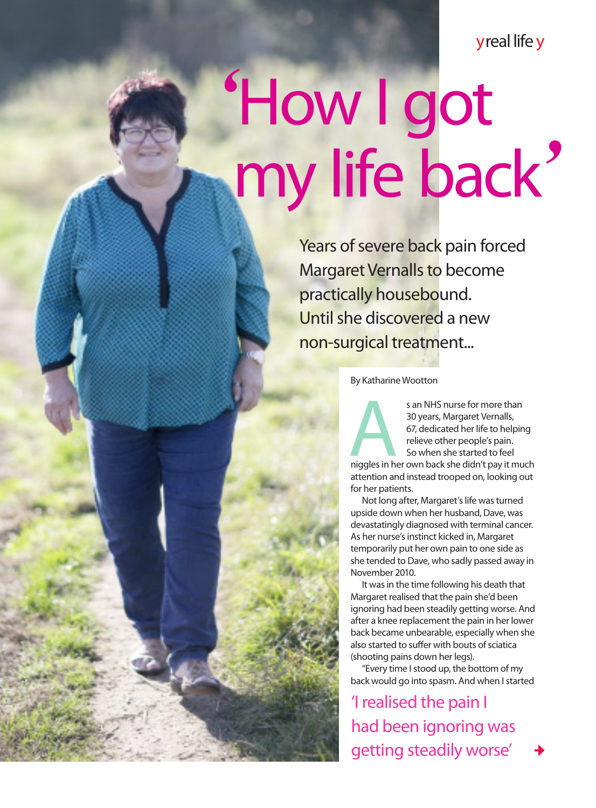y real life y

## *'*How I got my life back*'*

Years of severe back pain forced Margaret Vernalls to become practically housebound. Until she discovered a new non-surgical treatment...

By Katharine Wootton

s an NHS nurse for more than<br>
30 years, Margaret Vernalls,<br>
67, dedicated her life to helping<br>
relieve other people's pain.<br>
So when she started to feel<br>
niggles in her own back she didn't pay it much 30 years, Margaret Vernalls, 67, dedicated her life to helping relieve other people's pain. So when she started to feel

attention and instead trooped on, looking out for her patients.

Not long after, Margaret's life was turned upside down when her husband, Dave, was devastatingly diagnosed with terminal cancer. As her nurse's instinct kicked in, Margaret temporarily put her own pain to one side as she tended to Dave, who sadly passed away in November 2010.

It was in the time following his death that Margaret realised that the pain she'd been ignoring had been steadily getting worse. And after a knee replacement the pain in her lower back became unbearable, especially when she also started to suffer with bouts of sciatica (shooting pains down her legs).

"Every time I stood up, the bottom of my back would go into spasm. And when I started

'I realised the pain I had been ignoring was getting steadily worse'